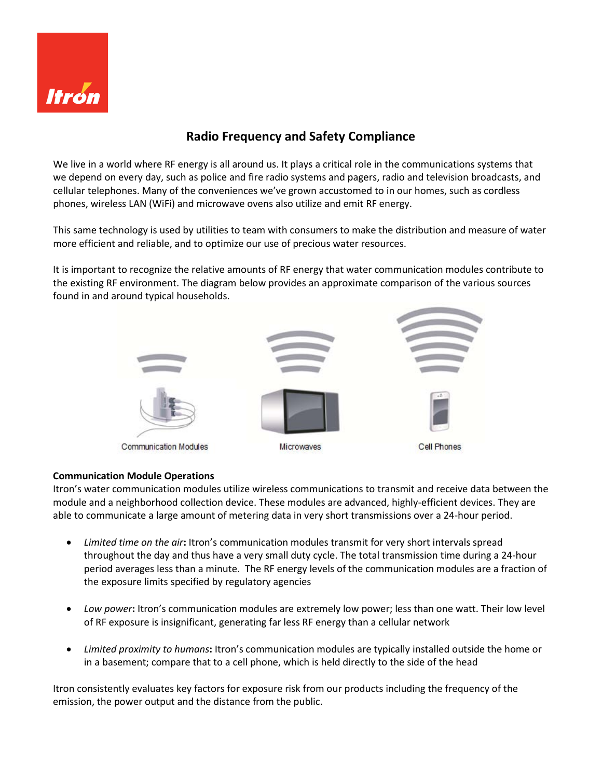

## **Radio Frequency and Safety Compliance**

We live in a world where RF energy is all around us. It plays a critical role in the communications systems that we depend on every day, such as police and fire radio systems and pagers, radio and television broadcasts, and cellular telephones. Many of the conveniences we've grown accustomed to in our homes, such as cordless phones, wireless LAN (WiFi) and microwave ovens also utilize and emit RF energy.

This same technology is used by utilities to team with consumers to make the distribution and measure of water more efficient and reliable, and to optimize our use of precious water resources.

It is important to recognize the relative amounts of RF energy that water communication modules contribute to the existing RF environment. The diagram below provides an approximate comparison of the various sources found in and around typical households.



## **Communication Module Operations**

Itron's water communication modules utilize wireless communications to transmit and receive data between the module and a neighborhood collection device. These modules are advanced, highly-efficient devices. They are able to communicate a large amount of metering data in very short transmissions over a 24-hour period.

- *Limited time on the air***:** Itron's communication modules transmit for very short intervals spread throughout the day and thus have a very small duty cycle. The total transmission time during a 24-hour period averages less than a minute. The RF energy levels of the communication modules are a fraction of the exposure limits specified by regulatory agencies
- *Low power***:** Itron's communication modules are extremely low power; less than one watt. Their low level of RF exposure is insignificant, generating far less RF energy than a cellular network
- *Limited proximity to humans***:** Itron's communication modules are typically installed outside the home or in a basement; compare that to a cell phone, which is held directly to the side of the head

Itron consistently evaluates key factors for exposure risk from our products including the frequency of the emission, the power output and the distance from the public.